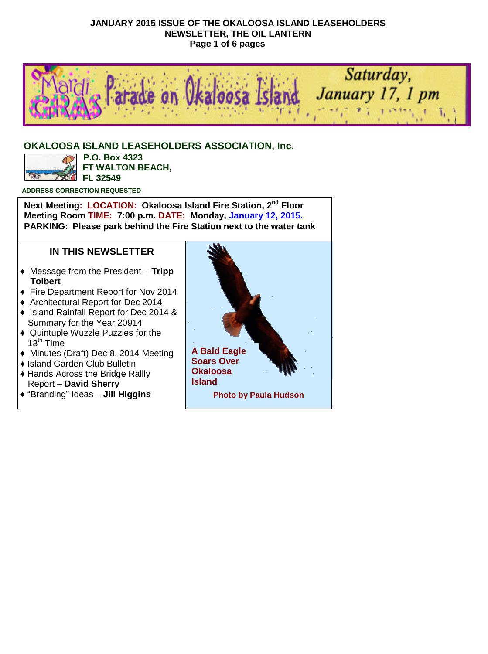#### **JANUARY 2015 ISSUE OF THE OKALOOSA ISLAND LEASEHOLDERS NEWSLETTER, THE OIL LANTERN Page 1 of 6 pages**



#### **OKALOOSA ISLAND LEASEHOLDERS ASSOCIATION, Inc.**



**P.O. Box 4323 FT WALTON BEACH, FL 32549**

**ADDRESS CORRECTION REQUESTED**

**Next Meeting: LOCATION: Okaloosa Island Fire Station, 2nd Floor Meeting Room TIME: 7:00 p.m. DATE: Monday, January 12, 2015. PARKING: Please park behind the Fire Station next to the water tank**

#### **IN THIS NEWSLETTER**

- ♦ Message from the President **Tripp Tolbert**
- ♦ Fire Department Report for Nov 2014
- ♦ Architectural Report for Dec 2014
- ♦ Island Rainfall Report for Dec 2014 & Summary for the Year 20914
- ♦ Quintuple Wuzzle Puzzles for the 13th Time
- ♦ Minutes (Draft) Dec 8, 2014 Meeting
- ♦ Island Garden Club Bulletin
- ♦ Hands Across the Bridge Rallly Report – **David Sherry**
- ♦ "Branding" Ideas **Jill Higgins**

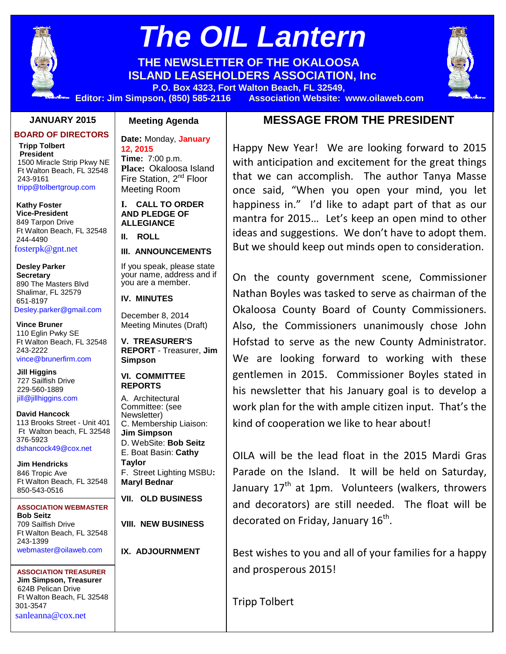

# *The OIL Lantern*

**THE NEWSLETTER OF THE OKALOOSA ISLAND LEASEHOLDERS ASSOCIATION, Inc**



#### **JANUARY 2015**

**BOARD OF DIRECTORS**

**Tripp Tolbert President** 1500 Miracle Strip Pkwy NE Ft Walton Beach, FL 32548 243-9161 tripp@tolbertgroup.com

**Kathy Foster Vice-President** 849 Tarpon Drive Ft Walton Beach, FL 32548 244-4490 fosterpk@gnt.net

**Desley Parker Secretary** 890 The Masters Blvd Shalimar, FL 32579 651-8197 Desley.parker@gmail.com

**Vince Bruner** 110 Eglin Pwky SE Ft Walton Beach, FL 32548 243-2222 vince@brunerfirm.com

**Jill Higgins** 727 Sailfish Drive 229-560-1889 jill@jillhiggins.com

**David Hancock** 113 Brooks Street - Unit 401 Ft Walton beach, FL 32548 376-5923 dshancock49@cox.net

**Jim Hendricks** 846 Tropic Ave Ft Walton Beach, FL 32548 850-543-0516 jmhendro1@gmail.com

**ASSOCIATION WEBMASTER Bob Seitz** 709 Sailfish Drive Ft Walton Beach, FL 32548 243-1399 webmaster@oilaweb.com

**ASSOCIATION TREASURER Jim Simpson, Treasurer** 624B Pelican Drive Ft Walton Beach, FL 32548 301-3547 sanleanna@cox.net

#### **Meeting Agenda**

**Date:** Monday, **January 12, 2015 Time:** 7:00 p.m. **Place:** Okaloosa Island Fire Station, 2<sup>nd</sup> Floor Meeting Room

**I. CALL TO ORDER AND PLEDGE OF ALLEGIANCE**

**II. ROLL**

#### **III. ANNOUNCEMENTS**

If you speak, please state your name, address and if you are a member.

**IV. MINUTES**

December 8, 2014 Meeting Minutes (Draft)

**V. TREASURER'S REPORT** - Treasurer, **Jim Simpson**

**VI. COMMITTEE REPORTS**

A. Architectural Committee: (see Newsletter) C. Membership Liaison: **Jim Simpson** D. WebSite: **Bob Seitz** E. Boat Basin: **Cathy Taylor** F. Street Lighting MSBU**: Maryl Bednar**

**VII. OLD BUSINESS**

**VIII. NEW BUSINESS**

**IX. ADJOURNMENT**

# **MESSAGE FROM THE PRESIDENT**

Happy New Year! We are looking forward to 2015 with anticipation and excitement for the great things that we can accomplish. The author Tanya Masse once said, "When you open your mind, you let happiness in." I'd like to adapt part of that as our mantra for 2015… Let's keep an open mind to other ideas and suggestions. We don't have to adopt them. But we should keep out minds open to consideration.

On the county government scene, Commissioner Nathan Boyles was tasked to serve as chairman of the Okaloosa County Board of County Commissioners. Also, the Commissioners unanimously chose John Hofstad to serve as the new County Administrator. We are looking forward to working with these gentlemen in 2015. Commissioner Boyles stated in his newsletter that his January goal is to develop a work plan for the with ample citizen input. That's the kind of cooperation we like to hear about!

OILA will be the lead float in the 2015 Mardi Gras Parade on the Island. It will be held on Saturday, January  $17<sup>th</sup>$  at 1pm. Volunteers (walkers, throwers and decorators) are still needed. The float will be decorated on Friday, January 16<sup>th</sup>.

Best wishes to you and all of your families for a happy and prosperous 2015!

Tripp Tolbert

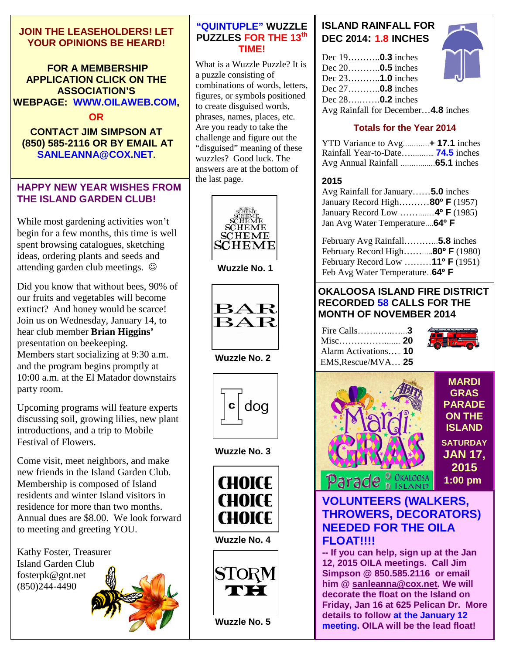## **JOIN THE LEASEHOLDERS! LET YOUR OPINIONS BE HEARD!**

#### **FOR A MEMBERSHIP APPLICATION CLICK ON THE ASSOCIATION'S WEBPAGE: WWW.OILAWEB.COM,**

#### **OR**

## **CONTACT JIM SIMPSON AT (850) 585-2116 OR BY EMAIL AT SANLEANNA@COX.NET.**

# **HAPPY NEW YEAR WISHES FROM THE ISLAND GARDEN CLUB!**

While most gardening activities won't begin for a few months, this time is well spent browsing catalogues, sketching ideas, ordering plants and seeds and attending garden club meetings.

Did you know that without bees, 90% of our fruits and vegetables will become extinct? And honey would be scarce! Join us on Wednesday, January 14, to hear club member **Brian Higgins'** presentation on beekeeping. Members start socializing at 9:30 a.m. and the program begins promptly at 10:00 a.m. at the El Matador downstairs party room.

Upcoming programs will feature experts discussing soil, growing lilies, new plant introductions, and a trip to Mobile Festival of Flowers.

Come visit, meet neighbors, and make new friends in the Island Garden Club. Membership is composed of Island residents and winter Island visitors in residence for more than two months. Annual dues are \$8.00. We look forward to meeting and greeting YOU.

Kathy Foster, Treasurer Island Garden Club fosterpk@gnt.net (850)244-4490

#### **"QUINTUPLE" WUZZLE PUZZLES FOR THE 13th TIME!**

What is a Wuzzle Puzzle? It is a puzzle consisting of combinations of words, letters, figures, or symbols positioned to create disguised words, phrases, names, places, etc. Are you ready to take the challenge and figure out the "disguised" meaning of these wuzzles? Good luck. The answers are at the bottom of the last page.



**Wuzzle No. 1**



**Wuzzle No. 2**



**Wuzzle No. 3**



**Wuzzle No. 4**



**Wuzzle No. 5**

# **ISLAND RAINFALL FOR DEC 2014: 1.8 INCHES**

| Dec $19$ <b>0.3</b> inches          |  |
|-------------------------------------|--|
| Dec $20$ <b>0.5</b> inches          |  |
| Dec $23$ <b>1.0</b> inches          |  |
| Dec $27$ <b>0.8</b> inches          |  |
| Dec 28 <b>0.2</b> inches            |  |
| Avg Rainfall for December4.8 inches |  |

# **Totals for the Year 2014**

| YTD Variance to Avg 17.1 inches          |  |
|------------------------------------------|--|
| Rainfall Year-to-Date <b>74.5</b> inches |  |
|                                          |  |

#### **2015**

Avg Rainfall for January……**5.0** inches January Record High………..**80º F** (1957) January Record Low …………..**4º F** (1985) Jan Avg Water Temperature….**64º F**

| February Avg Rainfall <b>5.8</b> inches      |  |
|----------------------------------------------|--|
| February Record High80° F (1980)             |  |
| February Record Low 11 <sup>o</sup> F (1951) |  |
| Feb Avg Water Temperature. 64 <sup>0</sup> F |  |

## **OKALOOSA ISLAND FIRE DISTRICT RECORDED 58 CALLS FOR THE MONTH OF NOVEMBER 2014**

| Alarm Activations 10 |  |
|----------------------|--|
| EMS, Rescue/MVA 25   |  |





# **VOLUNTEERS (WALKERS, THROWERS, DECORATORS) NEEDED FOR THE OILA FLOAT!!!!**

**-- If you can help, sign up at the Jan 12, 2015 OILA meetings. Call Jim Simpson @ 850.585.2116 or email him @ sanleanna@cox.net. We will decorate the float on the Island on Friday, Jan 16 at 625 Pelican Dr. More details to follow at the January 12 meeting. OILA will be the lead float!**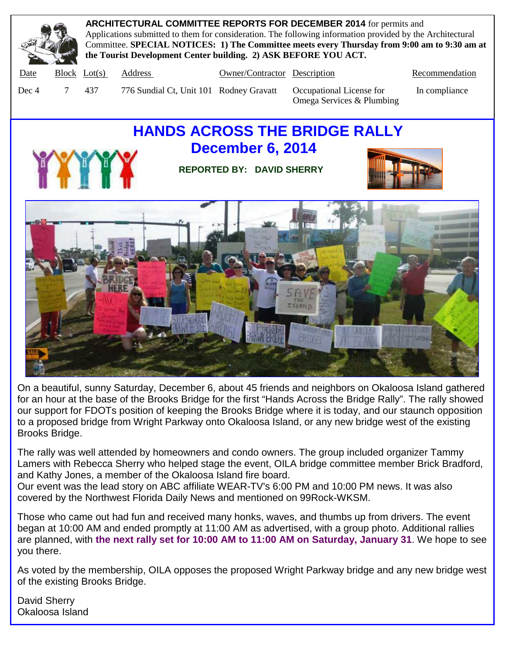

**ARCHITECTURAL COMMITTEE REPORTS FOR DECEMBER 2014** for permits and Applications submitted to them for consideration. The following information provided by the Architectural Committee. **SPECIAL NOTICES: 1) The Committee meets every Thursday from 9:00 am to 9:30 am at the Tourist Development Center building. 2) ASK BEFORE YOU ACT.**

Date Block Lot(s) Address Owner/Contractor Description Recommendation

- 
- 

Dec 4 7 437 776 Sundial Ct, Unit 101 Rodney Gravatt Occupational License for In compliance Omega Services & Plumbing

# **HANDS ACROSS THE BRIDGE RALLY December 6, 2014**



**REPORTED BY: DAVID SHERRY**





On a beautiful, sunny Saturday, December 6, about 45 friends and neighbors on Okaloosa Island gathered for an hour at the base of the Brooks Bridge for the first "Hands Across the Bridge Rally". The rally showed our support for FDOTs position of keeping the Brooks Bridge where it is today, and our staunch opposition to a proposed bridge from Wright Parkway onto Okaloosa Island, or any new bridge west of the existing Brooks Bridge.

The rally was well attended by homeowners and condo owners. The group included organizer Tammy Lamers with Rebecca Sherry who helped stage the event, OILA bridge committee member Brick Bradford, and Kathy Jones, a member of the Okaloosa Island fire board.

Our event was the lead story on ABC affiliate WEAR-TV's 6:00 PM and 10:00 PM news. It was also covered by the Northwest Florida Daily News and mentioned on 99Rock-WKSM.

Those who came out had fun and received many honks, waves, and thumbs up from drivers. The event began at 10:00 AM and ended promptly at 11:00 AM as advertised, with a group photo. Additional rallies are planned, with **the next rally set for 10:00 AM to 11:00 AM on Saturday, January 31**. We hope to see you there.

As voted by the membership, OILA opposes the proposed Wright Parkway bridge and any new bridge west of the existing Brooks Bridge.

David Sherry Okaloosa Island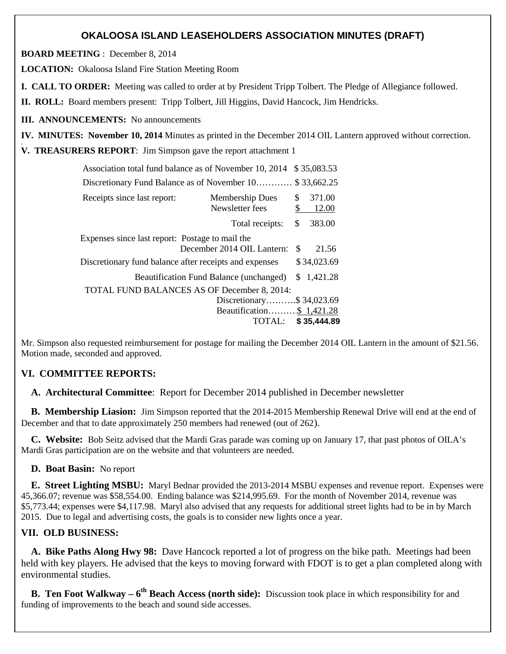## **OKALOOSA ISLAND LEASEHOLDERS ASSOCIATION MINUTES (DRAFT)**

**BOARD MEETING** : December 8, 2014

**LOCATION:** Okaloosa Island Fire Station Meeting Room

**I. CALL TO ORDER:** Meeting was called to order at by President Tripp Tolbert. The Pledge of Allegiance followed.

**II. ROLL:** Board members present: Tripp Tolbert, Jill Higgins, David Hancock, Jim Hendricks.

**III. ANNOUNCEMENTS:** No announcements

**IV. MINUTES: November 10, 2014** Minutes as printed in the December 2014 OIL Lantern approved without correction. .

**V. TREASURERS REPORT**: Jim Simpson gave the report attachment 1

| Association total fund balance as of November 10, 2014<br>\$35,083.53 |                                                |          |                 |  |
|-----------------------------------------------------------------------|------------------------------------------------|----------|-----------------|--|
| Discretionary Fund Balance as of November 10                          |                                                |          | \$33,662.25     |  |
| Receipts since last report:                                           | <b>Membership Dues</b><br>Newsletter fees      | \$<br>\$ | 371.00<br>12.00 |  |
|                                                                       | Total receipts:                                | \$       | 383.00          |  |
| Expenses since last report: Postage to mail the                       |                                                |          |                 |  |
|                                                                       | December 2014 OIL Lantern:                     | S        | 21.56           |  |
| Discretionary fund balance after receipts and expenses                |                                                |          | \$34,023.69     |  |
|                                                                       | <b>Beautification Fund Balance (unchanged)</b> |          | \$1,421.28      |  |
|                                                                       | TOTAL FUND BALANCES AS OF December 8, 2014:    |          |                 |  |
|                                                                       | Discretionary $$34,023.69$                     |          |                 |  |
|                                                                       | Beautification\$ 1,421.28                      |          |                 |  |
|                                                                       | <b>TOTAL:</b>                                  |          | \$35,444.89     |  |

Mr. Simpson also requested reimbursement for postage for mailing the December 2014 OIL Lantern in the amount of \$21.56. Motion made, seconded and approved.

#### **VI. COMMITTEE REPORTS:**

**A. Architectural Committee**: Report for December 2014 published in December newsletter

**B. Membership Liasion:** Jim Simpson reported that the 2014-2015 Membership Renewal Drive will end at the end of December and that to date approximately 250 members had renewed (out of 262).

**C. Website:** Bob Seitz advised that the Mardi Gras parade was coming up on January 17, that past photos of OILA's Mardi Gras participation are on the website and that volunteers are needed.

**D. Boat Basin:** No report

**E. Street Lighting MSBU:** Maryl Bednar provided the 2013-2014 MSBU expenses and revenue report. Expenses were 45,366.07; revenue was \$58,554.00. Ending balance was \$214,995.69. For the month of November 2014, revenue was \$5,773.44; expenses were \$4,117.98. Maryl also advised that any requests for additional street lights had to be in by March 2015. Due to legal and advertising costs, the goals is to consider new lights once a year.

#### **VII. OLD BUSINESS:**

**A. Bike Paths Along Hwy 98:** Dave Hancock reported a lot of progress on the bike path. Meetings had been held with key players. He advised that the keys to moving forward with FDOT is to get a plan completed along with environmental studies.

**B.** Ten Foot Walkway – 6<sup>th</sup> Beach Access (north side): Discussion took place in which responsibility for and funding of improvements to the beach and sound side accesses.